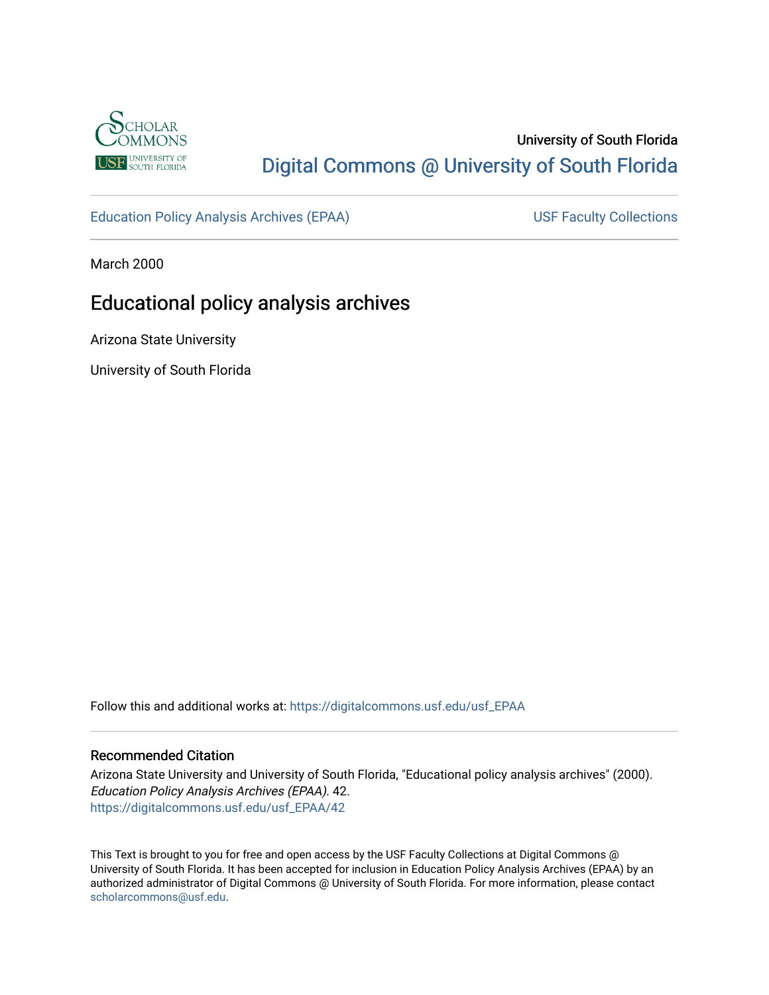

# University of South Florida [Digital Commons @ University of South Florida](https://digitalcommons.usf.edu/)

[Education Policy Analysis Archives \(EPAA\)](https://digitalcommons.usf.edu/usf_EPAA) USF Faculty Collections

March 2000

# Educational policy analysis archives

Arizona State University

University of South Florida

Follow this and additional works at: [https://digitalcommons.usf.edu/usf\\_EPAA](https://digitalcommons.usf.edu/usf_EPAA?utm_source=digitalcommons.usf.edu%2Fusf_EPAA%2F42&utm_medium=PDF&utm_campaign=PDFCoverPages)

#### Recommended Citation

Arizona State University and University of South Florida, "Educational policy analysis archives" (2000). Education Policy Analysis Archives (EPAA). 42. [https://digitalcommons.usf.edu/usf\\_EPAA/42](https://digitalcommons.usf.edu/usf_EPAA/42?utm_source=digitalcommons.usf.edu%2Fusf_EPAA%2F42&utm_medium=PDF&utm_campaign=PDFCoverPages) 

This Text is brought to you for free and open access by the USF Faculty Collections at Digital Commons @ University of South Florida. It has been accepted for inclusion in Education Policy Analysis Archives (EPAA) by an authorized administrator of Digital Commons @ University of South Florida. For more information, please contact [scholarcommons@usf.edu.](mailto:scholarcommons@usf.edu)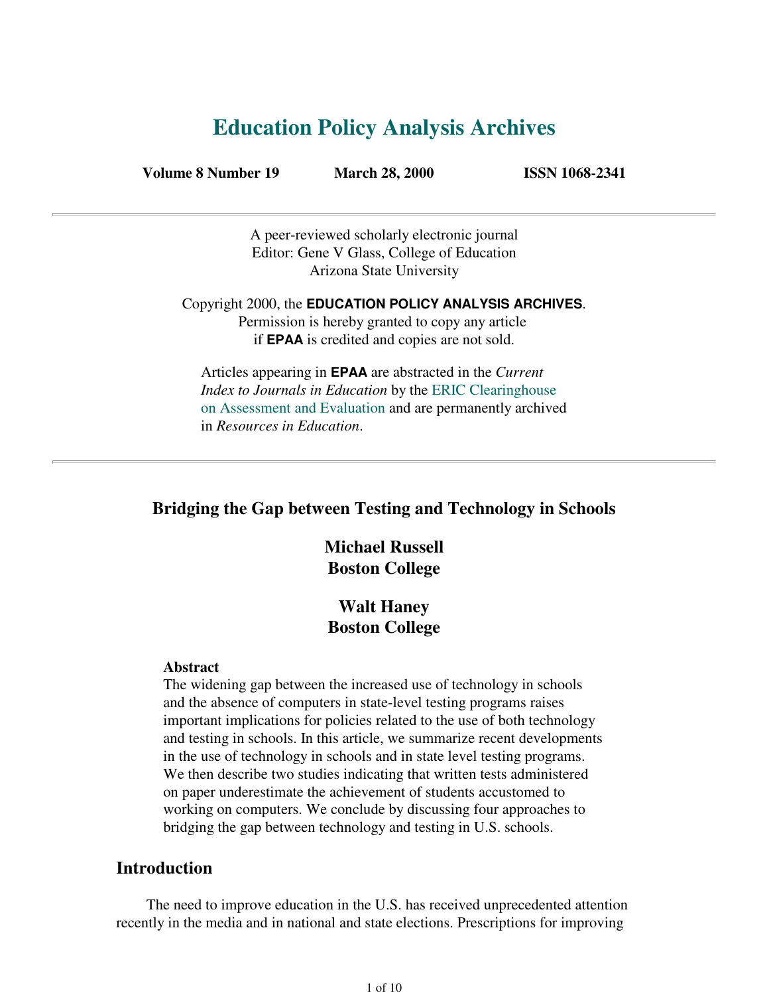# **Education Policy Analysis Archives**

**Volume 8 Number 19 March 28, 2000 ISSN 1068-2341**

A peer-reviewed scholarly electronic journal Editor: Gene V Glass, College of Education Arizona State University

Copyright 2000, the **EDUCATION POLICY ANALYSIS ARCHIVES**. Permission is hereby granted to copy any article if **EPAA** is credited and copies are not sold.

Articles appearing in **EPAA** are abstracted in the *Current Index to Journals in Education* by the ERIC Clearinghouse on Assessment and Evaluation and are permanently archived in *Resources in Education*.

## **Bridging the Gap between Testing and Technology in Schools**

# **Michael Russell Boston College**

# **Walt Haney Boston College**

#### **Abstract**

The widening gap between the increased use of technology in schools and the absence of computers in state-level testing programs raises important implications for policies related to the use of both technology and testing in schools. In this article, we summarize recent developments in the use of technology in schools and in state level testing programs. We then describe two studies indicating that written tests administered on paper underestimate the achievement of students accustomed to working on computers. We conclude by discussing four approaches to bridging the gap between technology and testing in U.S. schools.

## **Introduction**

 The need to improve education in the U.S. has received unprecedented attention recently in the media and in national and state elections. Prescriptions for improving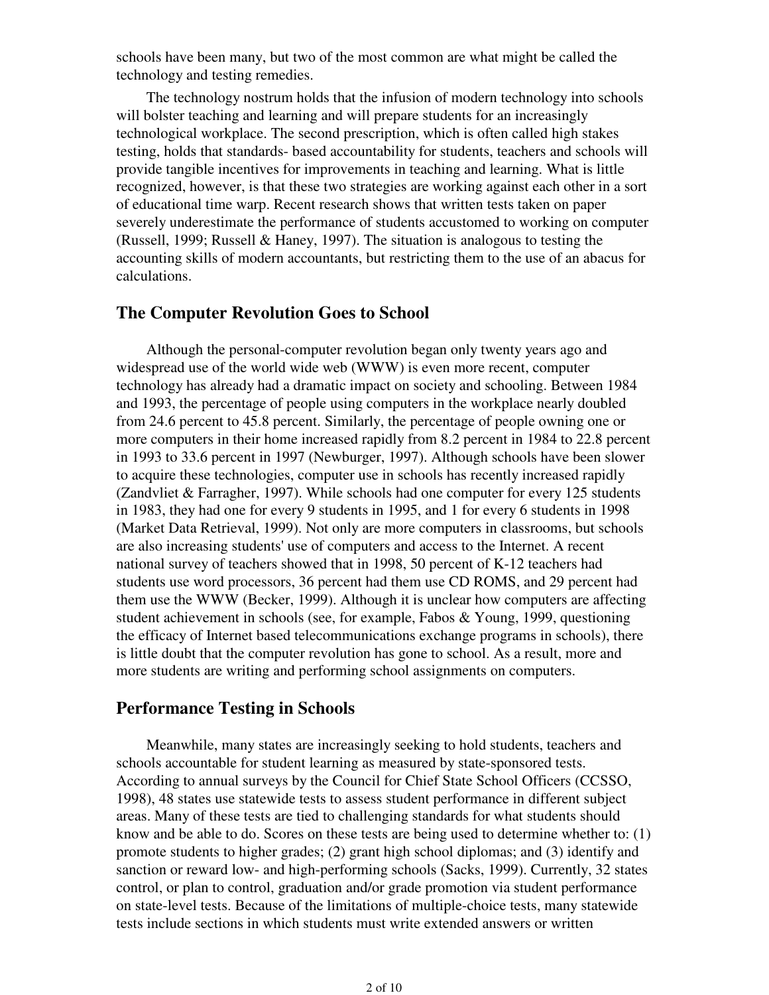schools have been many, but two of the most common are what might be called the technology and testing remedies.

 The technology nostrum holds that the infusion of modern technology into schools will bolster teaching and learning and will prepare students for an increasingly technological workplace. The second prescription, which is often called high stakes testing, holds that standards- based accountability for students, teachers and schools will provide tangible incentives for improvements in teaching and learning. What is little recognized, however, is that these two strategies are working against each other in a sort of educational time warp. Recent research shows that written tests taken on paper severely underestimate the performance of students accustomed to working on computer (Russell, 1999; Russell & Haney, 1997). The situation is analogous to testing the accounting skills of modern accountants, but restricting them to the use of an abacus for calculations.

## **The Computer Revolution Goes to School**

 Although the personal-computer revolution began only twenty years ago and widespread use of the world wide web (WWW) is even more recent, computer technology has already had a dramatic impact on society and schooling. Between 1984 and 1993, the percentage of people using computers in the workplace nearly doubled from 24.6 percent to 45.8 percent. Similarly, the percentage of people owning one or more computers in their home increased rapidly from 8.2 percent in 1984 to 22.8 percent in 1993 to 33.6 percent in 1997 (Newburger, 1997). Although schools have been slower to acquire these technologies, computer use in schools has recently increased rapidly (Zandvliet & Farragher, 1997). While schools had one computer for every 125 students in 1983, they had one for every 9 students in 1995, and 1 for every 6 students in 1998 (Market Data Retrieval, 1999). Not only are more computers in classrooms, but schools are also increasing students' use of computers and access to the Internet. A recent national survey of teachers showed that in 1998, 50 percent of K-12 teachers had students use word processors, 36 percent had them use CD ROMS, and 29 percent had them use the WWW (Becker, 1999). Although it is unclear how computers are affecting student achievement in schools (see, for example, Fabos & Young, 1999, questioning the efficacy of Internet based telecommunications exchange programs in schools), there is little doubt that the computer revolution has gone to school. As a result, more and more students are writing and performing school assignments on computers.

### **Performance Testing in Schools**

 Meanwhile, many states are increasingly seeking to hold students, teachers and schools accountable for student learning as measured by state-sponsored tests. According to annual surveys by the Council for Chief State School Officers (CCSSO, 1998), 48 states use statewide tests to assess student performance in different subject areas. Many of these tests are tied to challenging standards for what students should know and be able to do. Scores on these tests are being used to determine whether to: (1) promote students to higher grades; (2) grant high school diplomas; and (3) identify and sanction or reward low- and high-performing schools (Sacks, 1999). Currently, 32 states control, or plan to control, graduation and/or grade promotion via student performance on state-level tests. Because of the limitations of multiple-choice tests, many statewide tests include sections in which students must write extended answers or written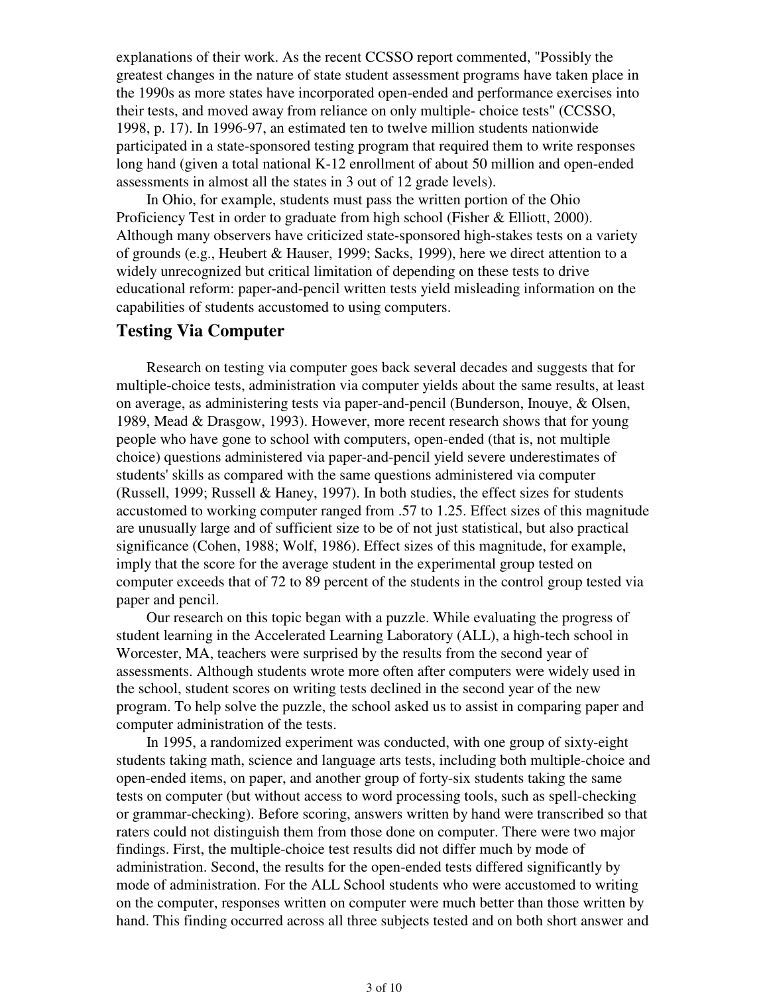explanations of their work. As the recent CCSSO report commented, "Possibly the greatest changes in the nature of state student assessment programs have taken place in the 1990s as more states have incorporated open-ended and performance exercises into their tests, and moved away from reliance on only multiple- choice tests" (CCSSO, 1998, p. 17). In 1996-97, an estimated ten to twelve million students nationwide participated in a state-sponsored testing program that required them to write responses long hand (given a total national K-12 enrollment of about 50 million and open-ended assessments in almost all the states in 3 out of 12 grade levels).

 In Ohio, for example, students must pass the written portion of the Ohio Proficiency Test in order to graduate from high school (Fisher & Elliott, 2000). Although many observers have criticized state-sponsored high-stakes tests on a variety of grounds (e.g., Heubert & Hauser, 1999; Sacks, 1999), here we direct attention to a widely unrecognized but critical limitation of depending on these tests to drive educational reform: paper-and-pencil written tests yield misleading information on the capabilities of students accustomed to using computers.

### **Testing Via Computer**

 Research on testing via computer goes back several decades and suggests that for multiple-choice tests, administration via computer yields about the same results, at least on average, as administering tests via paper-and-pencil (Bunderson, Inouye, & Olsen, 1989, Mead & Drasgow, 1993). However, more recent research shows that for young people who have gone to school with computers, open-ended (that is, not multiple choice) questions administered via paper-and-pencil yield severe underestimates of students' skills as compared with the same questions administered via computer (Russell, 1999; Russell & Haney, 1997). In both studies, the effect sizes for students accustomed to working computer ranged from .57 to 1.25. Effect sizes of this magnitude are unusually large and of sufficient size to be of not just statistical, but also practical significance (Cohen, 1988; Wolf, 1986). Effect sizes of this magnitude, for example, imply that the score for the average student in the experimental group tested on computer exceeds that of 72 to 89 percent of the students in the control group tested via paper and pencil.

 Our research on this topic began with a puzzle. While evaluating the progress of student learning in the Accelerated Learning Laboratory (ALL), a high-tech school in Worcester, MA, teachers were surprised by the results from the second year of assessments. Although students wrote more often after computers were widely used in the school, student scores on writing tests declined in the second year of the new program. To help solve the puzzle, the school asked us to assist in comparing paper and computer administration of the tests.

 In 1995, a randomized experiment was conducted, with one group of sixty-eight students taking math, science and language arts tests, including both multiple-choice and open-ended items, on paper, and another group of forty-six students taking the same tests on computer (but without access to word processing tools, such as spell-checking or grammar-checking). Before scoring, answers written by hand were transcribed so that raters could not distinguish them from those done on computer. There were two major findings. First, the multiple-choice test results did not differ much by mode of administration. Second, the results for the open-ended tests differed significantly by mode of administration. For the ALL School students who were accustomed to writing on the computer, responses written on computer were much better than those written by hand. This finding occurred across all three subjects tested and on both short answer and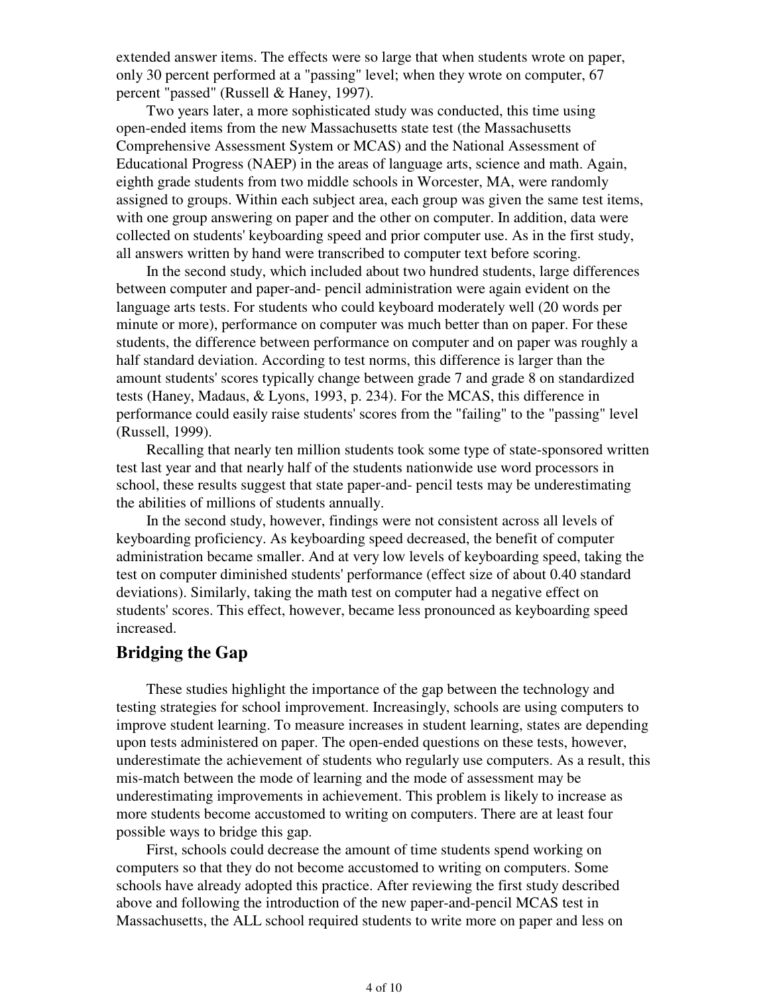extended answer items. The effects were so large that when students wrote on paper, only 30 percent performed at a "passing" level; when they wrote on computer, 67 percent "passed" (Russell & Haney, 1997).

 Two years later, a more sophisticated study was conducted, this time using open-ended items from the new Massachusetts state test (the Massachusetts Comprehensive Assessment System or MCAS) and the National Assessment of Educational Progress (NAEP) in the areas of language arts, science and math. Again, eighth grade students from two middle schools in Worcester, MA, were randomly assigned to groups. Within each subject area, each group was given the same test items, with one group answering on paper and the other on computer. In addition, data were collected on students' keyboarding speed and prior computer use. As in the first study, all answers written by hand were transcribed to computer text before scoring.

 In the second study, which included about two hundred students, large differences between computer and paper-and- pencil administration were again evident on the language arts tests. For students who could keyboard moderately well (20 words per minute or more), performance on computer was much better than on paper. For these students, the difference between performance on computer and on paper was roughly a half standard deviation. According to test norms, this difference is larger than the amount students' scores typically change between grade 7 and grade 8 on standardized tests (Haney, Madaus, & Lyons, 1993, p. 234). For the MCAS, this difference in performance could easily raise students' scores from the "failing" to the "passing" level (Russell, 1999).

 Recalling that nearly ten million students took some type of state-sponsored written test last year and that nearly half of the students nationwide use word processors in school, these results suggest that state paper-and- pencil tests may be underestimating the abilities of millions of students annually.

 In the second study, however, findings were not consistent across all levels of keyboarding proficiency. As keyboarding speed decreased, the benefit of computer administration became smaller. And at very low levels of keyboarding speed, taking the test on computer diminished students' performance (effect size of about 0.40 standard deviations). Similarly, taking the math test on computer had a negative effect on students' scores. This effect, however, became less pronounced as keyboarding speed increased.

## **Bridging the Gap**

 These studies highlight the importance of the gap between the technology and testing strategies for school improvement. Increasingly, schools are using computers to improve student learning. To measure increases in student learning, states are depending upon tests administered on paper. The open-ended questions on these tests, however, underestimate the achievement of students who regularly use computers. As a result, this mis-match between the mode of learning and the mode of assessment may be underestimating improvements in achievement. This problem is likely to increase as more students become accustomed to writing on computers. There are at least four possible ways to bridge this gap.

 First, schools could decrease the amount of time students spend working on computers so that they do not become accustomed to writing on computers. Some schools have already adopted this practice. After reviewing the first study described above and following the introduction of the new paper-and-pencil MCAS test in Massachusetts, the ALL school required students to write more on paper and less on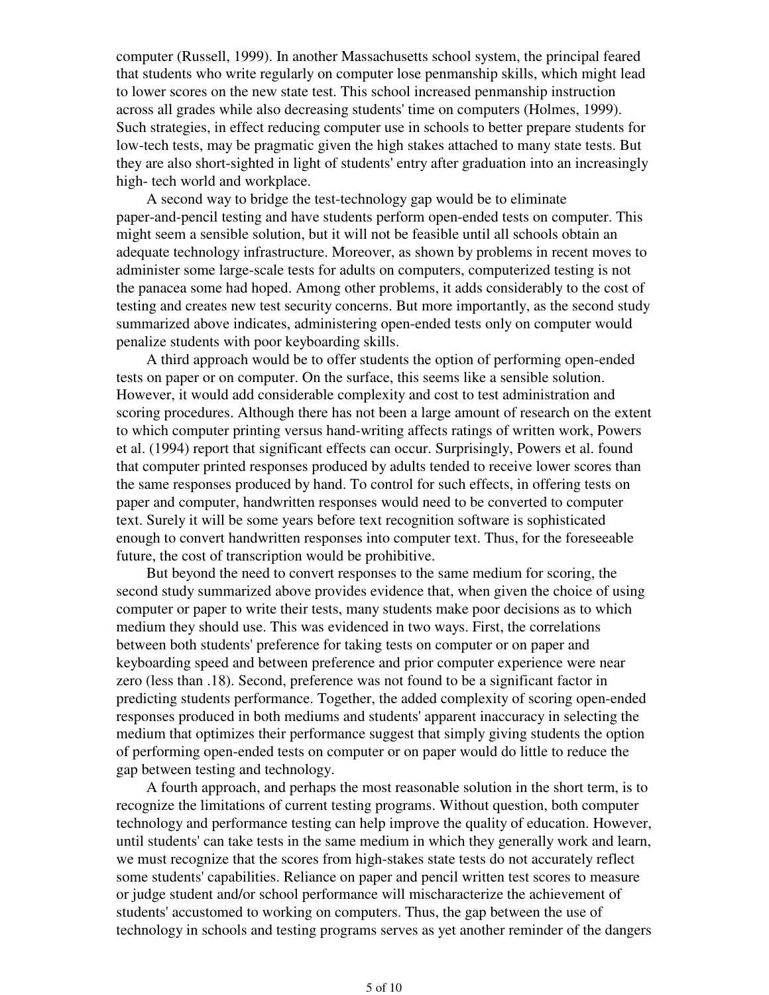computer (Russell, 1999). In another Massachusetts school system, the principal feared that students who write regularly on computer lose penmanship skills, which might lead to lower scores on the new state test. This school increased penmanship instruction across all grades while also decreasing students' time on computers (Holmes, 1999). Such strategies, in effect reducing computer use in schools to better prepare students for low-tech tests, may be pragmatic given the high stakes attached to many state tests. But they are also short-sighted in light of students' entry after graduation into an increasingly high- tech world and workplace.

 A second way to bridge the test-technology gap would be to eliminate paper-and-pencil testing and have students perform open-ended tests on computer. This might seem a sensible solution, but it will not be feasible until all schools obtain an adequate technology infrastructure. Moreover, as shown by problems in recent moves to administer some large-scale tests for adults on computers, computerized testing is not the panacea some had hoped. Among other problems, it adds considerably to the cost of testing and creates new test security concerns. But more importantly, as the second study summarized above indicates, administering open-ended tests only on computer would penalize students with poor keyboarding skills.

 A third approach would be to offer students the option of performing open-ended tests on paper or on computer. On the surface, this seems like a sensible solution. However, it would add considerable complexity and cost to test administration and scoring procedures. Although there has not been a large amount of research on the extent to which computer printing versus hand-writing affects ratings of written work, Powers et al. (1994) report that significant effects can occur. Surprisingly, Powers et al. found that computer printed responses produced by adults tended to receive lower scores than the same responses produced by hand. To control for such effects, in offering tests on paper and computer, handwritten responses would need to be converted to computer text. Surely it will be some years before text recognition software is sophisticated enough to convert handwritten responses into computer text. Thus, for the foreseeable future, the cost of transcription would be prohibitive.

 But beyond the need to convert responses to the same medium for scoring, the second study summarized above provides evidence that, when given the choice of using computer or paper to write their tests, many students make poor decisions as to which medium they should use. This was evidenced in two ways. First, the correlations between both students' preference for taking tests on computer or on paper and keyboarding speed and between preference and prior computer experience were near zero (less than .18). Second, preference was not found to be a significant factor in predicting students performance. Together, the added complexity of scoring open-ended responses produced in both mediums and students' apparent inaccuracy in selecting the medium that optimizes their performance suggest that simply giving students the option of performing open-ended tests on computer or on paper would do little to reduce the gap between testing and technology.

 A fourth approach, and perhaps the most reasonable solution in the short term, is to recognize the limitations of current testing programs. Without question, both computer technology and performance testing can help improve the quality of education. However, until students' can take tests in the same medium in which they generally work and learn, we must recognize that the scores from high-stakes state tests do not accurately reflect some students' capabilities. Reliance on paper and pencil written test scores to measure or judge student and/or school performance will mischaracterize the achievement of students' accustomed to working on computers. Thus, the gap between the use of technology in schools and testing programs serves as yet another reminder of the dangers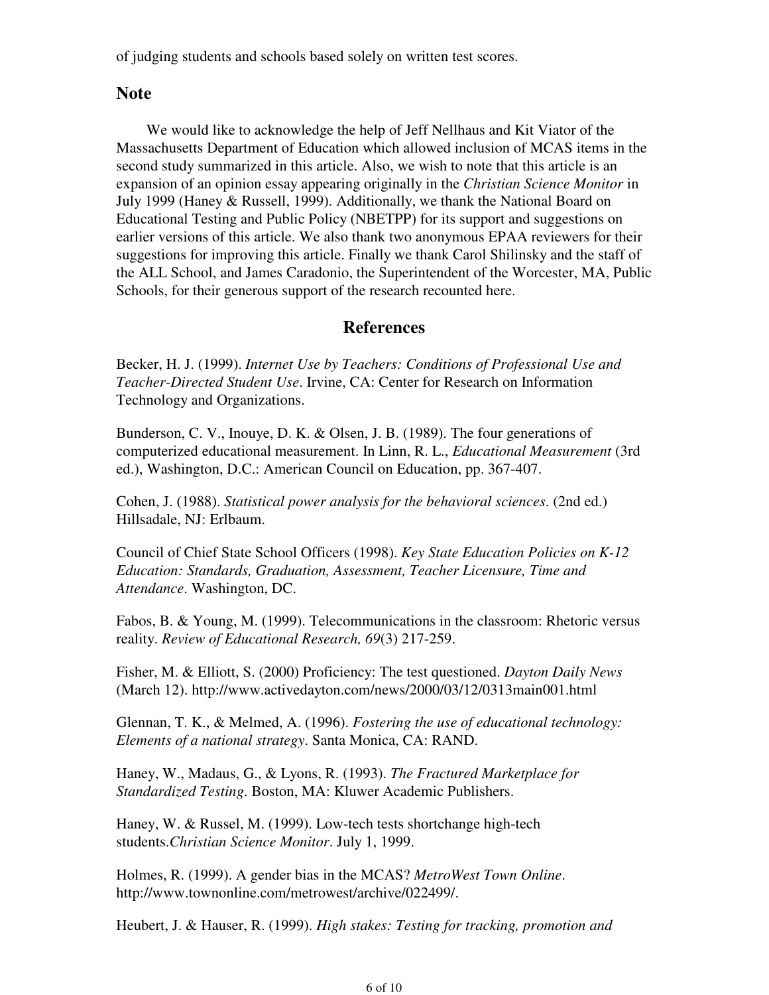of judging students and schools based solely on written test scores.

## **Note**

 We would like to acknowledge the help of Jeff Nellhaus and Kit Viator of the Massachusetts Department of Education which allowed inclusion of MCAS items in the second study summarized in this article. Also, we wish to note that this article is an expansion of an opinion essay appearing originally in the *Christian Science Monitor* in July 1999 (Haney & Russell, 1999). Additionally, we thank the National Board on Educational Testing and Public Policy (NBETPP) for its support and suggestions on earlier versions of this article. We also thank two anonymous EPAA reviewers for their suggestions for improving this article. Finally we thank Carol Shilinsky and the staff of the ALL School, and James Caradonio, the Superintendent of the Worcester, MA, Public Schools, for their generous support of the research recounted here.

## **References**

Becker, H. J. (1999). *Internet Use by Teachers: Conditions of Professional Use and Teacher-Directed Student Use*. Irvine, CA: Center for Research on Information Technology and Organizations.

Bunderson, C. V., Inouye, D. K. & Olsen, J. B. (1989). The four generations of computerized educational measurement. In Linn, R. L., *Educational Measurement* (3rd ed.), Washington, D.C.: American Council on Education, pp. 367-407.

Cohen, J. (1988). *Statistical power analysis for the behavioral sciences*. (2nd ed.) Hillsadale, NJ: Erlbaum.

Council of Chief State School Officers (1998). *Key State Education Policies on K-12 Education: Standards, Graduation, Assessment, Teacher Licensure, Time and Attendance*. Washington, DC.

Fabos, B. & Young, M. (1999). Telecommunications in the classroom: Rhetoric versus reality. *Review of Educational Research, 69*(3) 217-259.

Fisher, M. & Elliott, S. (2000) Proficiency: The test questioned. *Dayton Daily News* (March 12). http://www.activedayton.com/news/2000/03/12/0313main001.html

Glennan, T. K., & Melmed, A. (1996). *Fostering the use of educational technology: Elements of a national strategy*. Santa Monica, CA: RAND.

Haney, W., Madaus, G., & Lyons, R. (1993). *The Fractured Marketplace for Standardized Testing*. Boston, MA: Kluwer Academic Publishers.

Haney, W. & Russel, M. (1999). Low-tech tests shortchange high-tech students.*Christian Science Monitor*. July 1, 1999.

Holmes, R. (1999). A gender bias in the MCAS? *MetroWest Town Online*. http://www.townonline.com/metrowest/archive/022499/.

Heubert, J. & Hauser, R. (1999). *High stakes: Testing for tracking, promotion and*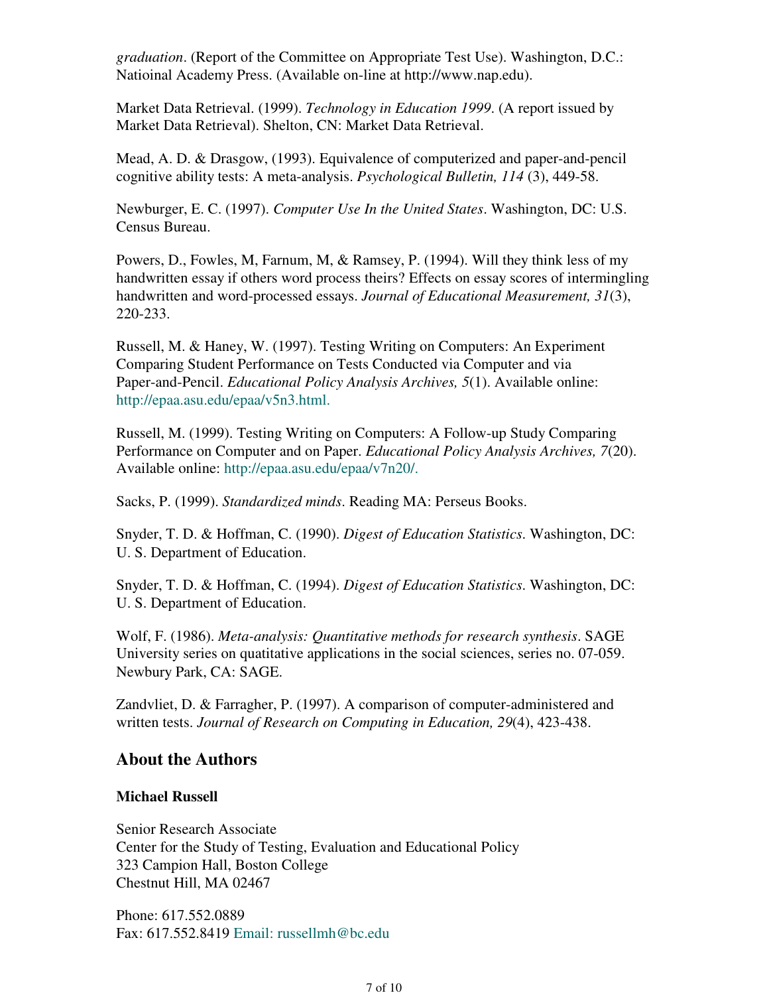*graduation*. (Report of the Committee on Appropriate Test Use). Washington, D.C.: Natioinal Academy Press. (Available on-line at http://www.nap.edu).

Market Data Retrieval. (1999). *Technology in Education 1999*. (A report issued by Market Data Retrieval). Shelton, CN: Market Data Retrieval.

Mead, A. D. & Drasgow, (1993). Equivalence of computerized and paper-and-pencil cognitive ability tests: A meta-analysis. *Psychological Bulletin, 114* (3), 449-58.

Newburger, E. C. (1997). *Computer Use In the United States*. Washington, DC: U.S. Census Bureau.

Powers, D., Fowles, M, Farnum, M, & Ramsey, P. (1994). Will they think less of my handwritten essay if others word process theirs? Effects on essay scores of intermingling handwritten and word-processed essays. *Journal of Educational Measurement, 31*(3), 220-233.

Russell, M. & Haney, W. (1997). Testing Writing on Computers: An Experiment Comparing Student Performance on Tests Conducted via Computer and via Paper-and-Pencil. *Educational Policy Analysis Archives, 5*(1). Available online: http://epaa.asu.edu/epaa/v5n3.html.

Russell, M. (1999). Testing Writing on Computers: A Follow-up Study Comparing Performance on Computer and on Paper. *Educational Policy Analysis Archives, 7*(20). Available online: http://epaa.asu.edu/epaa/v7n20/.

Sacks, P. (1999). *Standardized minds*. Reading MA: Perseus Books.

Snyder, T. D. & Hoffman, C. (1990). *Digest of Education Statistics*. Washington, DC: U. S. Department of Education.

Snyder, T. D. & Hoffman, C. (1994). *Digest of Education Statistics*. Washington, DC: U. S. Department of Education.

Wolf, F. (1986). *Meta-analysis: Quantitative methods for research synthesis*. SAGE University series on quatitative applications in the social sciences, series no. 07-059. Newbury Park, CA: SAGE.

Zandvliet, D. & Farragher, P. (1997). A comparison of computer-administered and written tests. *Journal of Research on Computing in Education, 29*(4), 423-438.

## **About the Authors**

#### **Michael Russell**

Senior Research Associate Center for the Study of Testing, Evaluation and Educational Policy 323 Campion Hall, Boston College Chestnut Hill, MA 02467

Phone: 617.552.0889 Fax: 617.552.8419 Email: russellmh@bc.edu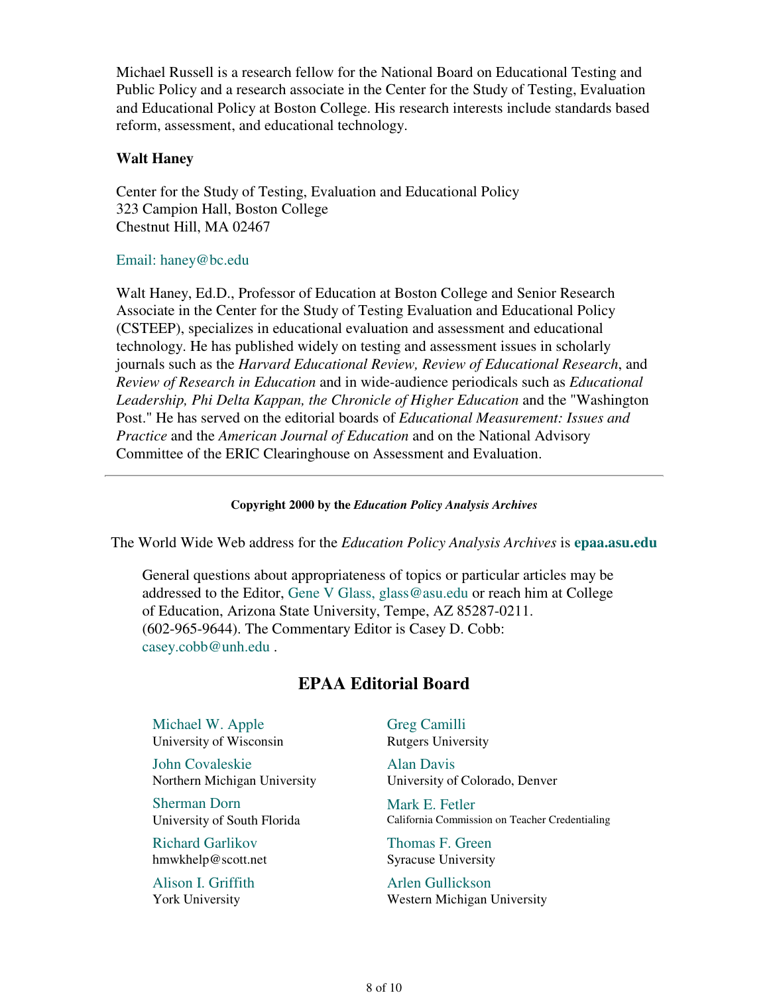Michael Russell is a research fellow for the National Board on Educational Testing and Public Policy and a research associate in the Center for the Study of Testing, Evaluation and Educational Policy at Boston College. His research interests include standards based reform, assessment, and educational technology.

#### **Walt Haney**

Center for the Study of Testing, Evaluation and Educational Policy 323 Campion Hall, Boston College Chestnut Hill, MA 02467

### Email: haney@bc.edu

Walt Haney, Ed.D., Professor of Education at Boston College and Senior Research Associate in the Center for the Study of Testing Evaluation and Educational Policy (CSTEEP), specializes in educational evaluation and assessment and educational technology. He has published widely on testing and assessment issues in scholarly journals such as the *Harvard Educational Review, Review of Educational Research*, and *Review of Research in Education* and in wide-audience periodicals such as *Educational Leadership, Phi Delta Kappan, the Chronicle of Higher Education* and the "Washington Post." He has served on the editorial boards of *Educational Measurement: Issues and Practice* and the *American Journal of Education* and on the National Advisory Committee of the ERIC Clearinghouse on Assessment and Evaluation.

#### **Copyright 2000 by the** *Education Policy Analysis Archives*

The World Wide Web address for the *Education Policy Analysis Archives* is **epaa.asu.edu**

General questions about appropriateness of topics or particular articles may be addressed to the Editor, Gene V Glass, glass@asu.edu or reach him at College of Education, Arizona State University, Tempe, AZ 85287-0211. (602-965-9644). The Commentary Editor is Casey D. Cobb: casey.cobb@unh.edu .

# **EPAA Editorial Board**

Michael W. Apple University of Wisconsin

John Covaleskie Northern Michigan University

Sherman Dorn University of South Florida

Richard Garlikov hmwkhelp@scott.net

Alison I. Griffith York University

Greg Camilli Rutgers University

Alan Davis University of Colorado, Denver

Mark E. Fetler California Commission on Teacher Credentialing

Thomas F. Green Syracuse University

Arlen Gullickson Western Michigan University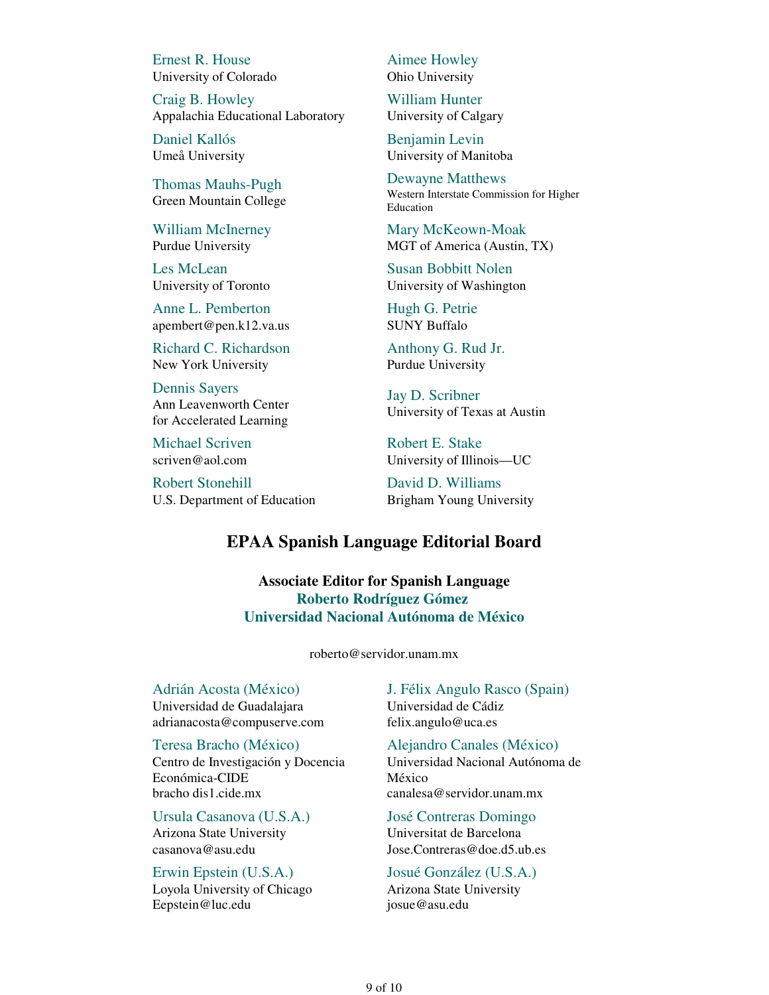Ernest R. House University of Colorado

Craig B. Howley Appalachia Educational Laboratory

Daniel Kallós Umeå University

Thomas Mauhs-Pugh Green Mountain College

William McInerney Purdue University

Les McLean University of Toronto

Anne L. Pemberton apembert@pen.k12.va.us

Richard C. Richardson New York University

Dennis Sayers Ann Leavenworth Center for Accelerated Learning

Michael Scriven scriven@aol.com

Robert Stonehill U.S. Department of Education Aimee Howley Ohio University

William Hunter University of Calgary

Benjamin Levin University of Manitoba

Dewayne Matthews Western Interstate Commission for Higher Education

Mary McKeown-Moak MGT of America (Austin, TX)

Susan Bobbitt Nolen University of Washington

Hugh G. Petrie SUNY Buffalo

Anthony G. Rud Jr. Purdue University

Jay D. Scribner University of Texas at Austin

Robert E. Stake University of Illinois—UC

David D. Williams Brigham Young University

## **EPAA Spanish Language Editorial Board**

**Associate Editor for Spanish Language Roberto Rodríguez Gómez Universidad Nacional Autónoma de México**

roberto@servidor.unam.mx

Adrián Acosta (México) Universidad de Guadalajara adrianacosta@compuserve.com

#### Teresa Bracho (México)

Centro de Investigación y Docencia Económica-CIDE bracho dis1.cide.mx

Ursula Casanova (U.S.A.) Arizona State University casanova@asu.edu

#### Erwin Epstein (U.S.A.)

Loyola University of Chicago Eepstein@luc.edu

J. Félix Angulo Rasco (Spain) Universidad de Cádiz felix.angulo@uca.es

Alejandro Canales (México) Universidad Nacional Autónoma de México canalesa@servidor.unam.mx

José Contreras Domingo Universitat de Barcelona Jose.Contreras@doe.d5.ub.es

## Josué González (U.S.A.)

Arizona State University josue@asu.edu